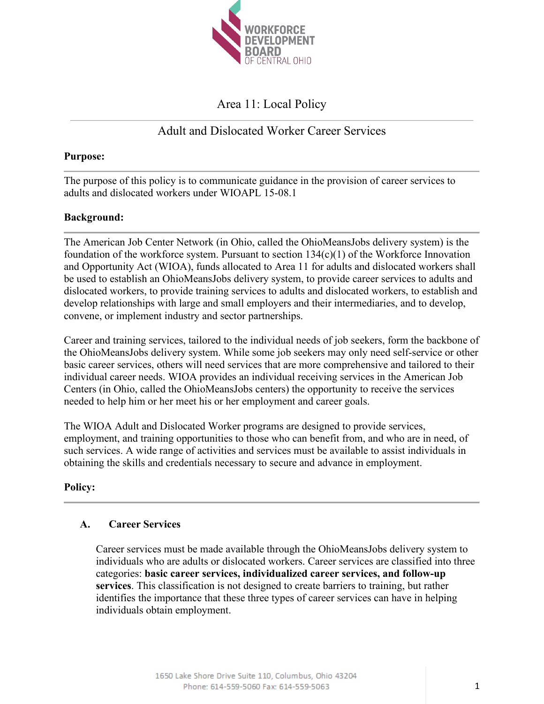

# Area 11: Local Policy

# Adult and Dislocated Worker Career Services

## **Purpose:**

The purpose of this policy is to communicate guidance in the provision of career services to adults and dislocated workers under WIOAPL 15-08.1

# **Background:**

The American Job Center Network (in Ohio, called the OhioMeansJobs delivery system) is the foundation of the workforce system. Pursuant to section  $134(c)(1)$  of the Workforce Innovation and Opportunity Act (WIOA), funds allocated to Area 11 for adults and dislocated workers shall be used to establish an OhioMeansJobs delivery system, to provide career services to adults and dislocated workers, to provide training services to adults and dislocated workers, to establish and develop relationships with large and small employers and their intermediaries, and to develop, convene, or implement industry and sector partnerships.

Career and training services, tailored to the individual needs of job seekers, form the backbone of the OhioMeansJobs delivery system. While some job seekers may only need self-service or other basic career services, others will need services that are more comprehensive and tailored to their individual career needs. WIOA provides an individual receiving services in the American Job Centers (in Ohio, called the OhioMeansJobs centers) the opportunity to receive the services needed to help him or her meet his or her employment and career goals.

The WIOA Adult and Dislocated Worker programs are designed to provide services, employment, and training opportunities to those who can benefit from, and who are in need, of such services. A wide range of activities and services must be available to assist individuals in obtaining the skills and credentials necessary to secure and advance in employment.

# **Policy:**

# **A. Career Services**

Career services must be made available through the OhioMeansJobs delivery system to individuals who are adults or dislocated workers. Career services are classified into three categories: **basic career services, individualized career services, and follow-up services**. This classification is not designed to create barriers to training, but rather identifies the importance that these three types of career services can have in helping individuals obtain employment.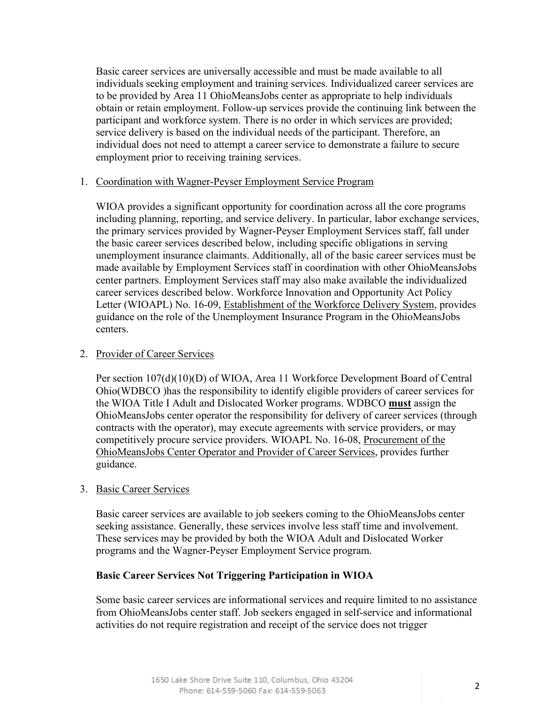Basic career services are universally accessible and must be made available to all individuals seeking employment and training services. Individualized career services are to be provided by Area 11 OhioMeansJobs center as appropriate to help individuals obtain or retain employment. Follow-up services provide the continuing link between the participant and workforce system. There is no order in which services are provided; service delivery is based on the individual needs of the participant. Therefore, an individual does not need to attempt a career service to demonstrate a failure to secure employment prior to receiving training services.

#### 1. Coordination with Wagner-Peyser Employment Service Program

WIOA provides a significant opportunity for coordination across all the core programs including planning, reporting, and service delivery. In particular, labor exchange services, the primary services provided by Wagner-Peyser Employment Services staff, fall under the basic career services described below, including specific obligations in serving unemployment insurance claimants. Additionally, all of the basic career services must be made available by Employment Services staff in coordination with other OhioMeansJobs center partners. Employment Services staff may also make available the individualized career services described below. Workforce Innovation and Opportunity Act Policy Letter (WIOAPL) No. 16-09, Establishment of the Workforce Delivery System, provides guidance on the role of the Unemployment Insurance Program in the OhioMeansJobs centers.

#### 2. Provider of Career Services

Per section 107(d)(10)(D) of WIOA, Area 11 Workforce Development Board of Central Ohio(WDBCO )has the responsibility to identify eligible providers of career services for the WIOA Title I Adult and Dislocated Worker programs. WDBCO **must** assign the OhioMeansJobs center operator the responsibility for delivery of career services (through contracts with the operator), may execute agreements with service providers, or may competitively procure service providers. WIOAPL No. 16-08, Procurement of the OhioMeansJobs Center Operator and Provider of Career Services, provides further guidance.

# 3. Basic Career Services

Basic career services are available to job seekers coming to the OhioMeansJobs center seeking assistance. Generally, these services involve less staff time and involvement. These services may be provided by both the WIOA Adult and Dislocated Worker programs and the Wagner-Peyser Employment Service program.

# **Basic Career Services Not Triggering Participation in WIOA**

Some basic career services are informational services and require limited to no assistance from OhioMeansJobs center staff. Job seekers engaged in self-service and informational activities do not require registration and receipt of the service does not trigger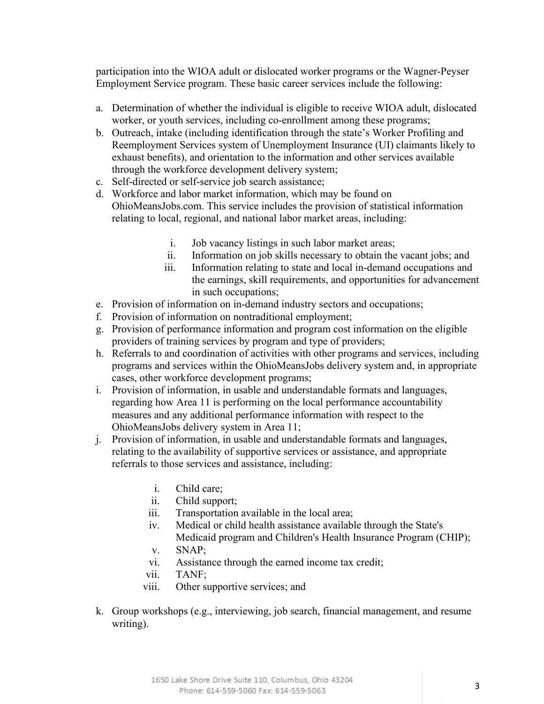participation into the WIOA adult or dislocated worker programs or the Wagner-Peyser Employment Service program. These basic career services include the following:

- a. Determination of whether the individual is eligible to receive WIOA adult, dislocated worker, or youth services, including co-enrollment among these programs;
- b. Outreach, intake (including identification through the state's Worker Profiling and Reemployment Services system of Unemployment Insurance (UI) claimants likely to exhaust benefits), and orientation to the information and other services available through the workforce development delivery system;
- c. Self-directed or self-service job search assistance;
- d. Workforce and labor market information, which may be found on OhioMeansJobs.com. This service includes the provision of statistical information relating to local, regional, and national labor market areas, including:
	- i. Job vacancy listings in such labor market areas;
	- ii. Information on job skills necessary to obtain the vacant jobs; and
	- iii. Information relating to state and local in-demand occupations and the earnings, skill requirements, and opportunities for advancement in such occupations;
- e. Provision of information on in-demand industry sectors and occupations;
- f. Provision of information on nontraditional employment;
- g. Provision of performance information and program cost information on the eligible providers of training services by program and type of providers;
- h. Referrals to and coordination of activities with other programs and services, including programs and services within the OhioMeansJobs delivery system and, in appropriate cases, other workforce development programs;
- i. Provision of information, in usable and understandable formats and languages, regarding how Area 11 is performing on the local performance accountability measures and any additional performance information with respect to the OhioMeansJobs delivery system in Area 11;
- j. Provision of information, in usable and understandable formats and languages, relating to the availability of supportive services or assistance, and appropriate referrals to those services and assistance, including:
	- i. Child care;
	- ii. Child support;
	- iii. Transportation available in the local area;
	- iv. Medical or child health assistance available through the State's Medicaid program and Children's Health Insurance Program (CHIP);
	- v. SNAP;
	- vi. Assistance through the earned income tax credit;
	- vii. TANF;
	- viii. Other supportive services; and
- k. Group workshops (e.g., interviewing, job search, financial management, and resume writing).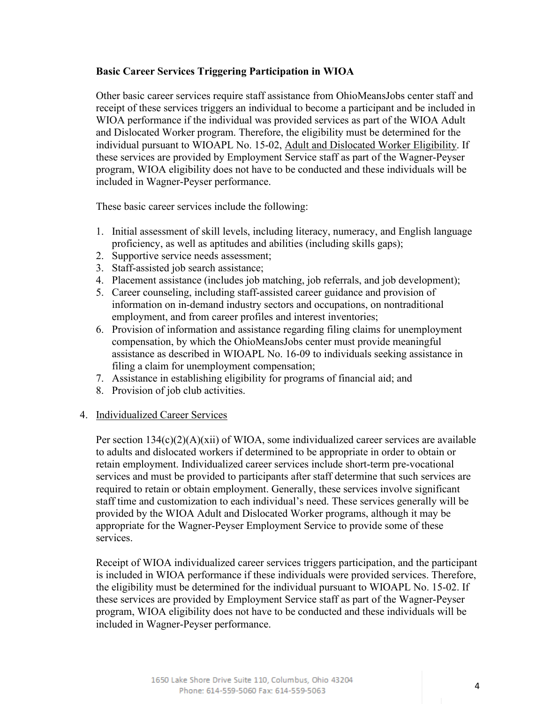## **Basic Career Services Triggering Participation in WIOA**

Other basic career services require staff assistance from OhioMeansJobs center staff and receipt of these services triggers an individual to become a participant and be included in WIOA performance if the individual was provided services as part of the WIOA Adult and Dislocated Worker program. Therefore, the eligibility must be determined for the individual pursuant to WIOAPL No. 15-02, Adult and Dislocated Worker Eligibility. If these services are provided by Employment Service staff as part of the Wagner-Peyser program, WIOA eligibility does not have to be conducted and these individuals will be included in Wagner-Peyser performance.

These basic career services include the following:

- 1. Initial assessment of skill levels, including literacy, numeracy, and English language proficiency, as well as aptitudes and abilities (including skills gaps);
- 2. Supportive service needs assessment;
- 3. Staff-assisted job search assistance;
- 4. Placement assistance (includes job matching, job referrals, and job development);
- 5. Career counseling, including staff-assisted career guidance and provision of information on in-demand industry sectors and occupations, on nontraditional employment, and from career profiles and interest inventories;
- 6. Provision of information and assistance regarding filing claims for unemployment compensation, by which the OhioMeansJobs center must provide meaningful assistance as described in WIOAPL No. 16-09 to individuals seeking assistance in filing a claim for unemployment compensation;
- 7. Assistance in establishing eligibility for programs of financial aid; and
- 8. Provision of job club activities.

#### 4. Individualized Career Services

Per section 134(c)(2)(A)(xii) of WIOA, some individualized career services are available to adults and dislocated workers if determined to be appropriate in order to obtain or retain employment. Individualized career services include short-term pre-vocational services and must be provided to participants after staff determine that such services are required to retain or obtain employment. Generally, these services involve significant staff time and customization to each individual's need. These services generally will be provided by the WIOA Adult and Dislocated Worker programs, although it may be appropriate for the Wagner-Peyser Employment Service to provide some of these services.

Receipt of WIOA individualized career services triggers participation, and the participant is included in WIOA performance if these individuals were provided services. Therefore, the eligibility must be determined for the individual pursuant to WIOAPL No. 15-02. If these services are provided by Employment Service staff as part of the Wagner-Peyser program, WIOA eligibility does not have to be conducted and these individuals will be included in Wagner-Peyser performance.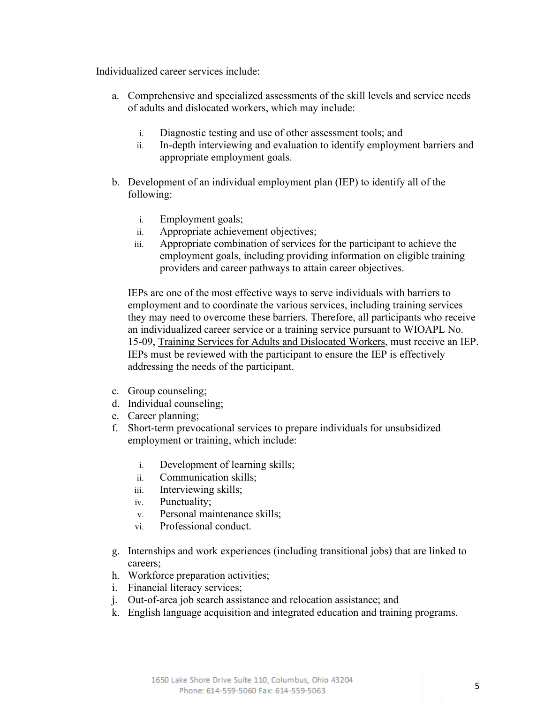Individualized career services include:

- a. Comprehensive and specialized assessments of the skill levels and service needs of adults and dislocated workers, which may include:
	- i. Diagnostic testing and use of other assessment tools; and
	- ii. In-depth interviewing and evaluation to identify employment barriers and appropriate employment goals.
- b. Development of an individual employment plan (IEP) to identify all of the following:
	- i. Employment goals;
	- ii. Appropriate achievement objectives;
	- iii. Appropriate combination of services for the participant to achieve the employment goals, including providing information on eligible training providers and career pathways to attain career objectives.

IEPs are one of the most effective ways to serve individuals with barriers to employment and to coordinate the various services, including training services they may need to overcome these barriers. Therefore, all participants who receive an individualized career service or a training service pursuant to WIOAPL No. 15-09, Training Services for Adults and Dislocated Workers, must receive an IEP. IEPs must be reviewed with the participant to ensure the IEP is effectively addressing the needs of the participant.

- c. Group counseling;
- d. Individual counseling;
- e. Career planning;
- f. Short-term prevocational services to prepare individuals for unsubsidized employment or training, which include:
	- i. Development of learning skills;
	- ii. Communication skills;
	- iii. Interviewing skills;
	- iv. Punctuality;
	- v. Personal maintenance skills;
	- vi. Professional conduct.
- g. Internships and work experiences (including transitional jobs) that are linked to careers;
- h. Workforce preparation activities;
- i. Financial literacy services;
- j. Out-of-area job search assistance and relocation assistance; and
- k. English language acquisition and integrated education and training programs.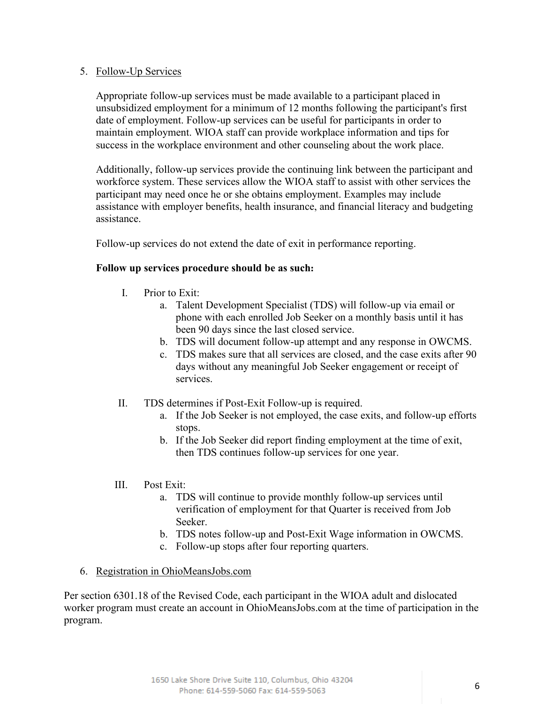## 5. Follow-Up Services

Appropriate follow-up services must be made available to a participant placed in unsubsidized employment for a minimum of 12 months following the participant's first date of employment. Follow-up services can be useful for participants in order to maintain employment. WIOA staff can provide workplace information and tips for success in the workplace environment and other counseling about the work place.

Additionally, follow-up services provide the continuing link between the participant and workforce system. These services allow the WIOA staff to assist with other services the participant may need once he or she obtains employment. Examples may include assistance with employer benefits, health insurance, and financial literacy and budgeting assistance.

Follow-up services do not extend the date of exit in performance reporting.

## **Follow up services procedure should be as such:**

- I. Prior to Exit:
	- a. Talent Development Specialist (TDS) will follow-up via email or phone with each enrolled Job Seeker on a monthly basis until it has been 90 days since the last closed service.
	- b. TDS will document follow-up attempt and any response in OWCMS.
	- c. TDS makes sure that all services are closed, and the case exits after 90 days without any meaningful Job Seeker engagement or receipt of services.
- II. TDS determines if Post-Exit Follow-up is required.
	- a. If the Job Seeker is not employed, the case exits, and follow-up efforts stops.
	- b. If the Job Seeker did report finding employment at the time of exit, then TDS continues follow-up services for one year.
- III. Post Exit:
	- a. TDS will continue to provide monthly follow-up services until verification of employment for that Quarter is received from Job Seeker.
	- b. TDS notes follow-up and Post-Exit Wage information in OWCMS.
	- c. Follow-up stops after four reporting quarters.

#### 6. Registration in OhioMeansJobs.com

Per section 6301.18 of the Revised Code, each participant in the WIOA adult and dislocated worker program must create an account in OhioMeansJobs.com at the time of participation in the program.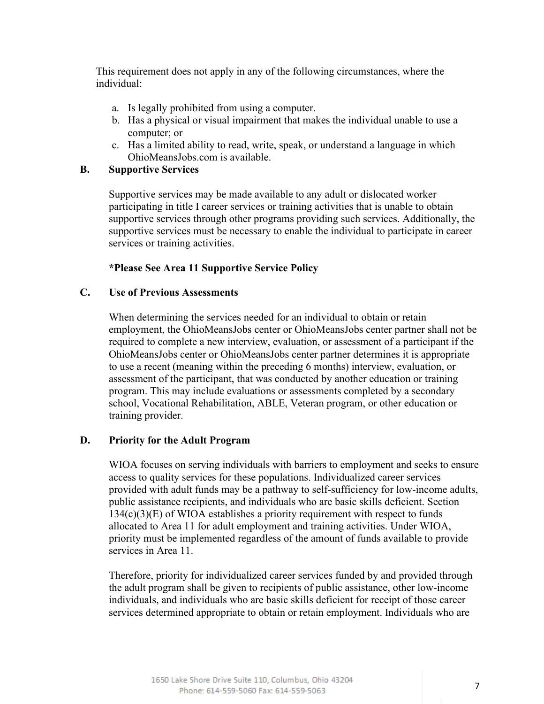This requirement does not apply in any of the following circumstances, where the individual:

- a. Is legally prohibited from using a computer.
- b. Has a physical or visual impairment that makes the individual unable to use a computer; or
- c. Has a limited ability to read, write, speak, or understand a language in which OhioMeansJobs.com is available.

#### **B. Supportive Services**

Supportive services may be made available to any adult or dislocated worker participating in title I career services or training activities that is unable to obtain supportive services through other programs providing such services. Additionally, the supportive services must be necessary to enable the individual to participate in career services or training activities.

#### **\*Please See Area 11 Supportive Service Policy**

#### **C. Use of Previous Assessments**

When determining the services needed for an individual to obtain or retain employment, the OhioMeansJobs center or OhioMeansJobs center partner shall not be required to complete a new interview, evaluation, or assessment of a participant if the OhioMeansJobs center or OhioMeansJobs center partner determines it is appropriate to use a recent (meaning within the preceding 6 months) interview, evaluation, or assessment of the participant, that was conducted by another education or training program. This may include evaluations or assessments completed by a secondary school, Vocational Rehabilitation, ABLE, Veteran program, or other education or training provider.

#### **D. Priority for the Adult Program**

WIOA focuses on serving individuals with barriers to employment and seeks to ensure access to quality services for these populations. Individualized career services provided with adult funds may be a pathway to self-sufficiency for low-income adults, public assistance recipients, and individuals who are basic skills deficient. Section  $134(c)(3)(E)$  of WIOA establishes a priority requirement with respect to funds allocated to Area 11 for adult employment and training activities. Under WIOA, priority must be implemented regardless of the amount of funds available to provide services in Area 11.

Therefore, priority for individualized career services funded by and provided through the adult program shall be given to recipients of public assistance, other low-income individuals, and individuals who are basic skills deficient for receipt of those career services determined appropriate to obtain or retain employment. Individuals who are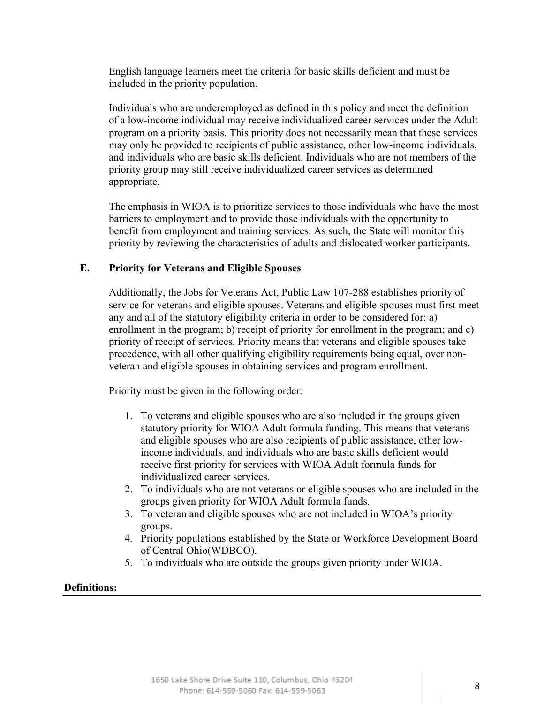English language learners meet the criteria for basic skills deficient and must be included in the priority population.

Individuals who are underemployed as defined in this policy and meet the definition of a low-income individual may receive individualized career services under the Adult program on a priority basis. This priority does not necessarily mean that these services may only be provided to recipients of public assistance, other low-income individuals, and individuals who are basic skills deficient. Individuals who are not members of the priority group may still receive individualized career services as determined appropriate.

The emphasis in WIOA is to prioritize services to those individuals who have the most barriers to employment and to provide those individuals with the opportunity to benefit from employment and training services. As such, the State will monitor this priority by reviewing the characteristics of adults and dislocated worker participants.

## **E. Priority for Veterans and Eligible Spouses**

Additionally, the Jobs for Veterans Act, Public Law 107-288 establishes priority of service for veterans and eligible spouses. Veterans and eligible spouses must first meet any and all of the statutory eligibility criteria in order to be considered for: a) enrollment in the program; b) receipt of priority for enrollment in the program; and c) priority of receipt of services. Priority means that veterans and eligible spouses take precedence, with all other qualifying eligibility requirements being equal, over nonveteran and eligible spouses in obtaining services and program enrollment.

Priority must be given in the following order:

- 1. To veterans and eligible spouses who are also included in the groups given statutory priority for WIOA Adult formula funding. This means that veterans and eligible spouses who are also recipients of public assistance, other lowincome individuals, and individuals who are basic skills deficient would receive first priority for services with WIOA Adult formula funds for individualized career services.
- 2. To individuals who are not veterans or eligible spouses who are included in the groups given priority for WIOA Adult formula funds.
- 3. To veteran and eligible spouses who are not included in WIOA's priority groups.
- 4. Priority populations established by the State or Workforce Development Board of Central Ohio(WDBCO).
- 5. To individuals who are outside the groups given priority under WIOA.

#### **Definitions:**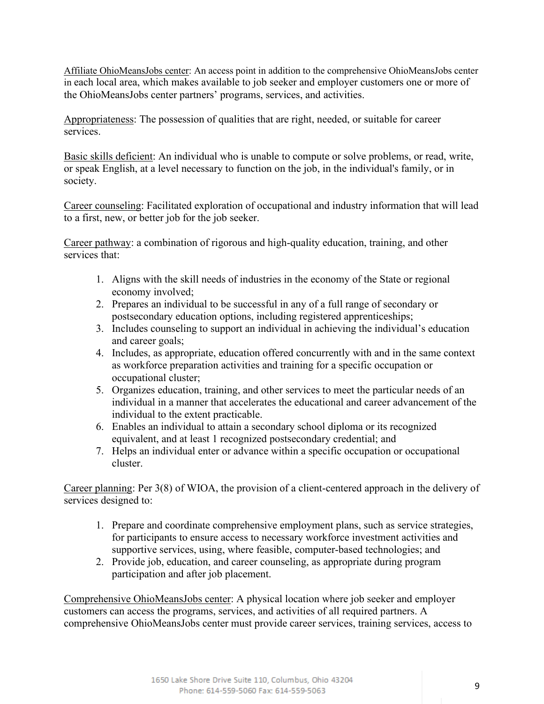Affiliate OhioMeansJobs center: An access point in addition to the comprehensive OhioMeansJobs center in each local area, which makes available to job seeker and employer customers one or more of the OhioMeansJobs center partners' programs, services, and activities.

Appropriateness: The possession of qualities that are right, needed, or suitable for career services.

Basic skills deficient: An individual who is unable to compute or solve problems, or read, write, or speak English, at a level necessary to function on the job, in the individual's family, or in society.

Career counseling: Facilitated exploration of occupational and industry information that will lead to a first, new, or better job for the job seeker.

Career pathway: a combination of rigorous and high-quality education, training, and other services that:

- 1. Aligns with the skill needs of industries in the economy of the State or regional economy involved;
- 2. Prepares an individual to be successful in any of a full range of secondary or postsecondary education options, including registered apprenticeships;
- 3. Includes counseling to support an individual in achieving the individual's education and career goals;
- 4. Includes, as appropriate, education offered concurrently with and in the same context as workforce preparation activities and training for a specific occupation or occupational cluster;
- 5. Organizes education, training, and other services to meet the particular needs of an individual in a manner that accelerates the educational and career advancement of the individual to the extent practicable.
- 6. Enables an individual to attain a secondary school diploma or its recognized equivalent, and at least 1 recognized postsecondary credential; and
- 7. Helps an individual enter or advance within a specific occupation or occupational cluster.

Career planning: Per 3(8) of WIOA, the provision of a client-centered approach in the delivery of services designed to:

- 1. Prepare and coordinate comprehensive employment plans, such as service strategies, for participants to ensure access to necessary workforce investment activities and supportive services, using, where feasible, computer-based technologies; and
- 2. Provide job, education, and career counseling, as appropriate during program participation and after job placement.

Comprehensive OhioMeansJobs center: A physical location where job seeker and employer customers can access the programs, services, and activities of all required partners. A comprehensive OhioMeansJobs center must provide career services, training services, access to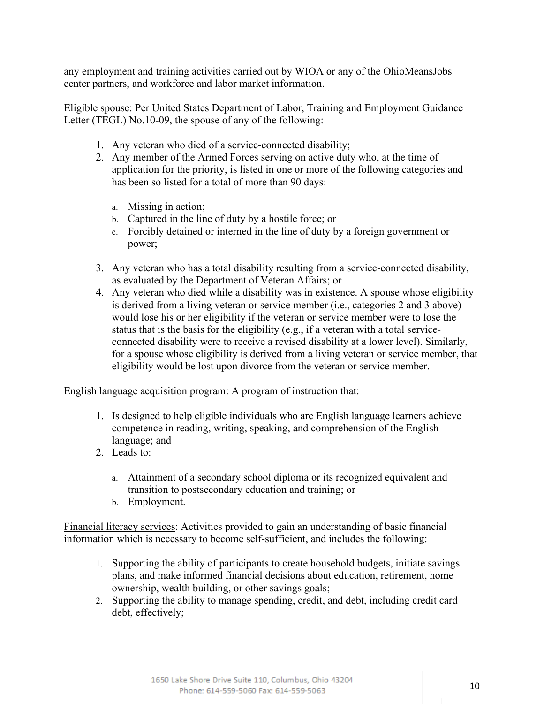any employment and training activities carried out by WIOA or any of the OhioMeansJobs center partners, and workforce and labor market information.

Eligible spouse: Per United States Department of Labor, Training and Employment Guidance Letter (TEGL) No.10-09, the spouse of any of the following:

- 1. Any veteran who died of a service-connected disability;
- 2. Any member of the Armed Forces serving on active duty who, at the time of application for the priority, is listed in one or more of the following categories and has been so listed for a total of more than 90 days:
	- a. Missing in action;
	- b. Captured in the line of duty by a hostile force; or
	- c. Forcibly detained or interned in the line of duty by a foreign government or power;
- 3. Any veteran who has a total disability resulting from a service-connected disability, as evaluated by the Department of Veteran Affairs; or
- 4. Any veteran who died while a disability was in existence. A spouse whose eligibility is derived from a living veteran or service member (i.e., categories 2 and 3 above) would lose his or her eligibility if the veteran or service member were to lose the status that is the basis for the eligibility (e.g., if a veteran with a total serviceconnected disability were to receive a revised disability at a lower level). Similarly, for a spouse whose eligibility is derived from a living veteran or service member, that eligibility would be lost upon divorce from the veteran or service member.

English language acquisition program: A program of instruction that:

- 1. Is designed to help eligible individuals who are English language learners achieve competence in reading, writing, speaking, and comprehension of the English language; and
- 2. Leads to:
	- a. Attainment of a secondary school diploma or its recognized equivalent and transition to postsecondary education and training; or
	- b. Employment.

Financial literacy services: Activities provided to gain an understanding of basic financial information which is necessary to become self-sufficient, and includes the following:

- 1. Supporting the ability of participants to create household budgets, initiate savings plans, and make informed financial decisions about education, retirement, home ownership, wealth building, or other savings goals;
- 2. Supporting the ability to manage spending, credit, and debt, including credit card debt, effectively;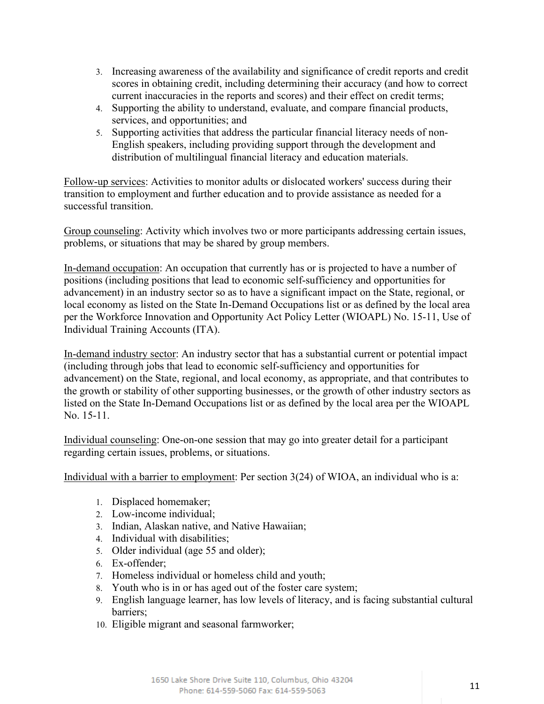- 3. Increasing awareness of the availability and significance of credit reports and credit scores in obtaining credit, including determining their accuracy (and how to correct current inaccuracies in the reports and scores) and their effect on credit terms;
- 4. Supporting the ability to understand, evaluate, and compare financial products, services, and opportunities; and
- 5. Supporting activities that address the particular financial literacy needs of non-English speakers, including providing support through the development and distribution of multilingual financial literacy and education materials.

Follow-up services: Activities to monitor adults or dislocated workers' success during their transition to employment and further education and to provide assistance as needed for a successful transition.

Group counseling: Activity which involves two or more participants addressing certain issues, problems, or situations that may be shared by group members.

In-demand occupation: An occupation that currently has or is projected to have a number of positions (including positions that lead to economic self-sufficiency and opportunities for advancement) in an industry sector so as to have a significant impact on the State, regional, or local economy as listed on the State In-Demand Occupations list or as defined by the local area per the Workforce Innovation and Opportunity Act Policy Letter (WIOAPL) No. 15-11, Use of Individual Training Accounts (ITA).

In-demand industry sector: An industry sector that has a substantial current or potential impact (including through jobs that lead to economic self-sufficiency and opportunities for advancement) on the State, regional, and local economy, as appropriate, and that contributes to the growth or stability of other supporting businesses, or the growth of other industry sectors as listed on the State In-Demand Occupations list or as defined by the local area per the WIOAPL No. 15-11.

Individual counseling: One-on-one session that may go into greater detail for a participant regarding certain issues, problems, or situations.

Individual with a barrier to employment: Per section 3(24) of WIOA, an individual who is a:

- 1. Displaced homemaker;
- 2. Low-income individual;
- 3. Indian, Alaskan native, and Native Hawaiian;
- 4. Individual with disabilities;
- 5. Older individual (age 55 and older);
- 6. Ex-offender;
- 7. Homeless individual or homeless child and youth;
- 8. Youth who is in or has aged out of the foster care system;
- 9. English language learner, has low levels of literacy, and is facing substantial cultural barriers;
- 10. Eligible migrant and seasonal farmworker;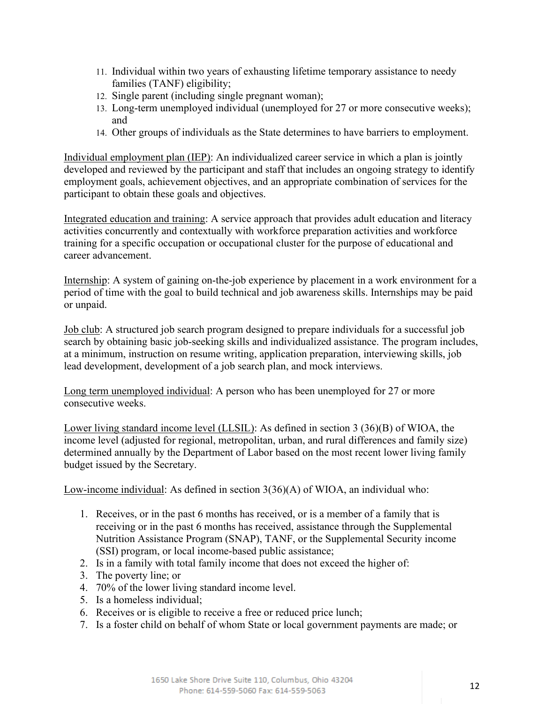- 11. Individual within two years of exhausting lifetime temporary assistance to needy families (TANF) eligibility;
- 12. Single parent (including single pregnant woman);
- 13. Long-term unemployed individual (unemployed for 27 or more consecutive weeks); and
- 14. Other groups of individuals as the State determines to have barriers to employment.

Individual employment plan (IEP): An individualized career service in which a plan is jointly developed and reviewed by the participant and staff that includes an ongoing strategy to identify employment goals, achievement objectives, and an appropriate combination of services for the participant to obtain these goals and objectives.

Integrated education and training: A service approach that provides adult education and literacy activities concurrently and contextually with workforce preparation activities and workforce training for a specific occupation or occupational cluster for the purpose of educational and career advancement.

Internship: A system of gaining on-the-job experience by placement in a work environment for a period of time with the goal to build technical and job awareness skills. Internships may be paid or unpaid.

Job club: A structured job search program designed to prepare individuals for a successful job search by obtaining basic job-seeking skills and individualized assistance. The program includes, at a minimum, instruction on resume writing, application preparation, interviewing skills, job lead development, development of a job search plan, and mock interviews.

Long term unemployed individual: A person who has been unemployed for 27 or more consecutive weeks.

Lower living standard income level (LLSIL): As defined in section 3 (36)(B) of WIOA, the income level (adjusted for regional, metropolitan, urban, and rural differences and family size) determined annually by the Department of Labor based on the most recent lower living family budget issued by the Secretary.

Low-income individual: As defined in section 3(36)(A) of WIOA, an individual who:

- 1. Receives, or in the past 6 months has received, or is a member of a family that is receiving or in the past 6 months has received, assistance through the Supplemental Nutrition Assistance Program (SNAP), TANF, or the Supplemental Security income (SSI) program, or local income-based public assistance;
- 2. Is in a family with total family income that does not exceed the higher of:
- 3. The poverty line; or
- 4. 70% of the lower living standard income level.
- 5. Is a homeless individual;
- 6. Receives or is eligible to receive a free or reduced price lunch;
- 7. Is a foster child on behalf of whom State or local government payments are made; or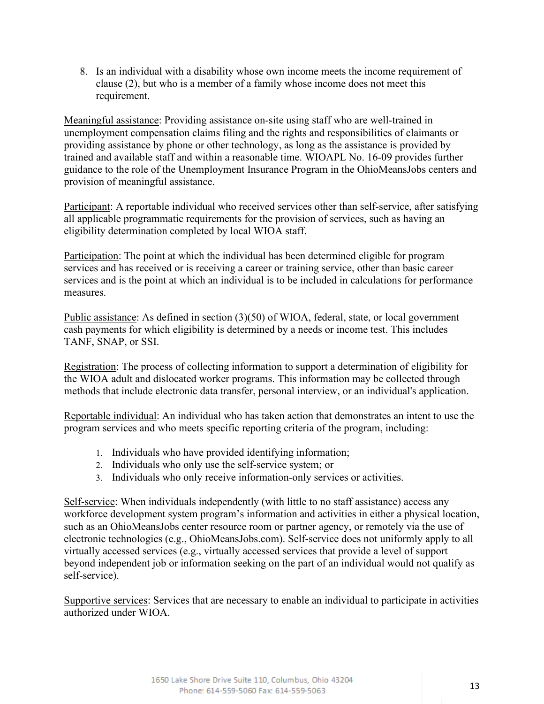8. Is an individual with a disability whose own income meets the income requirement of clause (2), but who is a member of a family whose income does not meet this requirement.

Meaningful assistance: Providing assistance on-site using staff who are well-trained in unemployment compensation claims filing and the rights and responsibilities of claimants or providing assistance by phone or other technology, as long as the assistance is provided by trained and available staff and within a reasonable time. WIOAPL No. 16-09 provides further guidance to the role of the Unemployment Insurance Program in the OhioMeansJobs centers and provision of meaningful assistance.

Participant: A reportable individual who received services other than self-service, after satisfying all applicable programmatic requirements for the provision of services, such as having an eligibility determination completed by local WIOA staff.

Participation: The point at which the individual has been determined eligible for program services and has received or is receiving a career or training service, other than basic career services and is the point at which an individual is to be included in calculations for performance measures.

Public assistance: As defined in section (3)(50) of WIOA, federal, state, or local government cash payments for which eligibility is determined by a needs or income test. This includes TANF, SNAP, or SSI.

Registration: The process of collecting information to support a determination of eligibility for the WIOA adult and dislocated worker programs. This information may be collected through methods that include electronic data transfer, personal interview, or an individual's application.

Reportable individual: An individual who has taken action that demonstrates an intent to use the program services and who meets specific reporting criteria of the program, including:

- 1. Individuals who have provided identifying information;
- 2. Individuals who only use the self-service system; or
- 3. Individuals who only receive information-only services or activities.

Self-service: When individuals independently (with little to no staff assistance) access any workforce development system program's information and activities in either a physical location, such as an OhioMeansJobs center resource room or partner agency, or remotely via the use of electronic technologies (e.g., OhioMeansJobs.com). Self-service does not uniformly apply to all virtually accessed services (e.g., virtually accessed services that provide a level of support beyond independent job or information seeking on the part of an individual would not qualify as self-service).

Supportive services: Services that are necessary to enable an individual to participate in activities authorized under WIOA.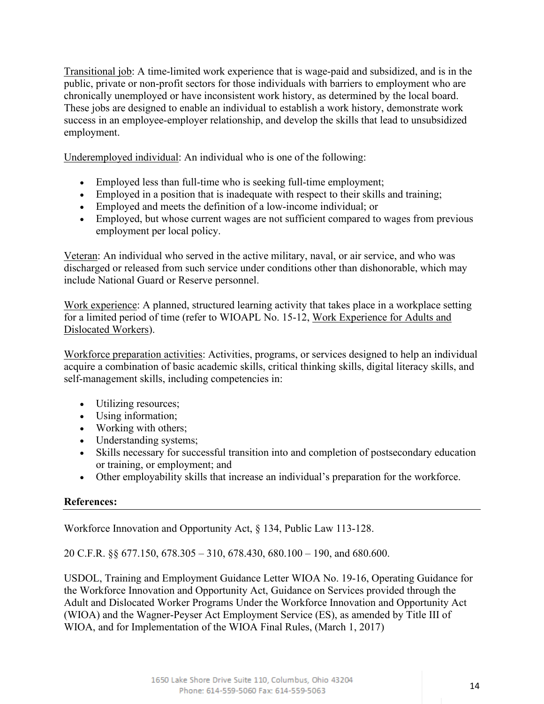Transitional job: A time-limited work experience that is wage-paid and subsidized, and is in the public, private or non-profit sectors for those individuals with barriers to employment who are chronically unemployed or have inconsistent work history, as determined by the local board. These jobs are designed to enable an individual to establish a work history, demonstrate work success in an employee-employer relationship, and develop the skills that lead to unsubsidized employment.

Underemployed individual: An individual who is one of the following:

- Employed less than full-time who is seeking full-time employment;
- Employed in a position that is inadequate with respect to their skills and training;
- Employed and meets the definition of a low-income individual; or
- Employed, but whose current wages are not sufficient compared to wages from previous employment per local policy.

Veteran: An individual who served in the active military, naval, or air service, and who was discharged or released from such service under conditions other than dishonorable, which may include National Guard or Reserve personnel.

Work experience: A planned, structured learning activity that takes place in a workplace setting for a limited period of time (refer to WIOAPL No. 15-12, Work Experience for Adults and Dislocated Workers).

Workforce preparation activities: Activities, programs, or services designed to help an individual acquire a combination of basic academic skills, critical thinking skills, digital literacy skills, and self-management skills, including competencies in:

- Utilizing resources;
- Using information;
- Working with others;
- Understanding systems;
- Skills necessary for successful transition into and completion of postsecondary education or training, or employment; and
- Other employability skills that increase an individual's preparation for the workforce.

# **References:**

Workforce Innovation and Opportunity Act, § 134, Public Law 113-128.

20 C.F.R. §§ 677.150, 678.305 – 310, 678.430, 680.100 – 190, and 680.600.

USDOL, Training and Employment Guidance Letter WIOA No. 19-16, Operating Guidance for the Workforce Innovation and Opportunity Act, Guidance on Services provided through the Adult and Dislocated Worker Programs Under the Workforce Innovation and Opportunity Act (WIOA) and the Wagner-Peyser Act Employment Service (ES), as amended by Title III of WIOA, and for Implementation of the WIOA Final Rules, (March 1, 2017)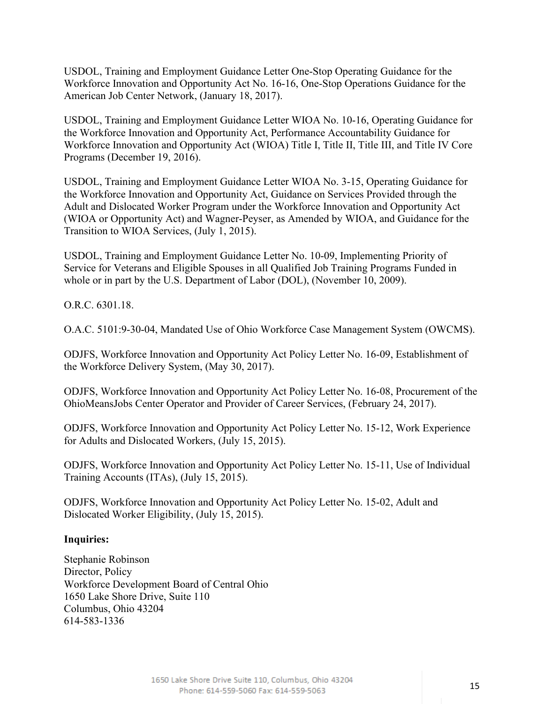USDOL, Training and Employment Guidance Letter One-Stop Operating Guidance for the Workforce Innovation and Opportunity Act No. 16-16, One-Stop Operations Guidance for the American Job Center Network, (January 18, 2017).

USDOL, Training and Employment Guidance Letter WIOA No. 10-16, Operating Guidance for the Workforce Innovation and Opportunity Act, Performance Accountability Guidance for Workforce Innovation and Opportunity Act (WIOA) Title I, Title II, Title III, and Title IV Core Programs (December 19, 2016).

USDOL, Training and Employment Guidance Letter WIOA No. 3-15, Operating Guidance for the Workforce Innovation and Opportunity Act, Guidance on Services Provided through the Adult and Dislocated Worker Program under the Workforce Innovation and Opportunity Act (WIOA or Opportunity Act) and Wagner-Peyser, as Amended by WIOA, and Guidance for the Transition to WIOA Services, (July 1, 2015).

USDOL, Training and Employment Guidance Letter No. 10-09, Implementing Priority of Service for Veterans and Eligible Spouses in all Qualified Job Training Programs Funded in whole or in part by the U.S. Department of Labor (DOL), (November 10, 2009).

O.R.C. 6301.18.

O.A.C. 5101:9-30-04, Mandated Use of Ohio Workforce Case Management System (OWCMS).

ODJFS, Workforce Innovation and Opportunity Act Policy Letter No. 16-09, Establishment of the Workforce Delivery System, (May 30, 2017).

ODJFS, Workforce Innovation and Opportunity Act Policy Letter No. 16-08, Procurement of the OhioMeansJobs Center Operator and Provider of Career Services, (February 24, 2017).

ODJFS, Workforce Innovation and Opportunity Act Policy Letter No. 15-12, Work Experience for Adults and Dislocated Workers, (July 15, 2015).

ODJFS, Workforce Innovation and Opportunity Act Policy Letter No. 15-11, Use of Individual Training Accounts (ITAs), (July 15, 2015).

ODJFS, Workforce Innovation and Opportunity Act Policy Letter No. 15-02, Adult and Dislocated Worker Eligibility, (July 15, 2015).

#### **Inquiries:**

Stephanie Robinson Director, Policy Workforce Development Board of Central Ohio 1650 Lake Shore Drive, Suite 110 Columbus, Ohio 43204 614-583-1336